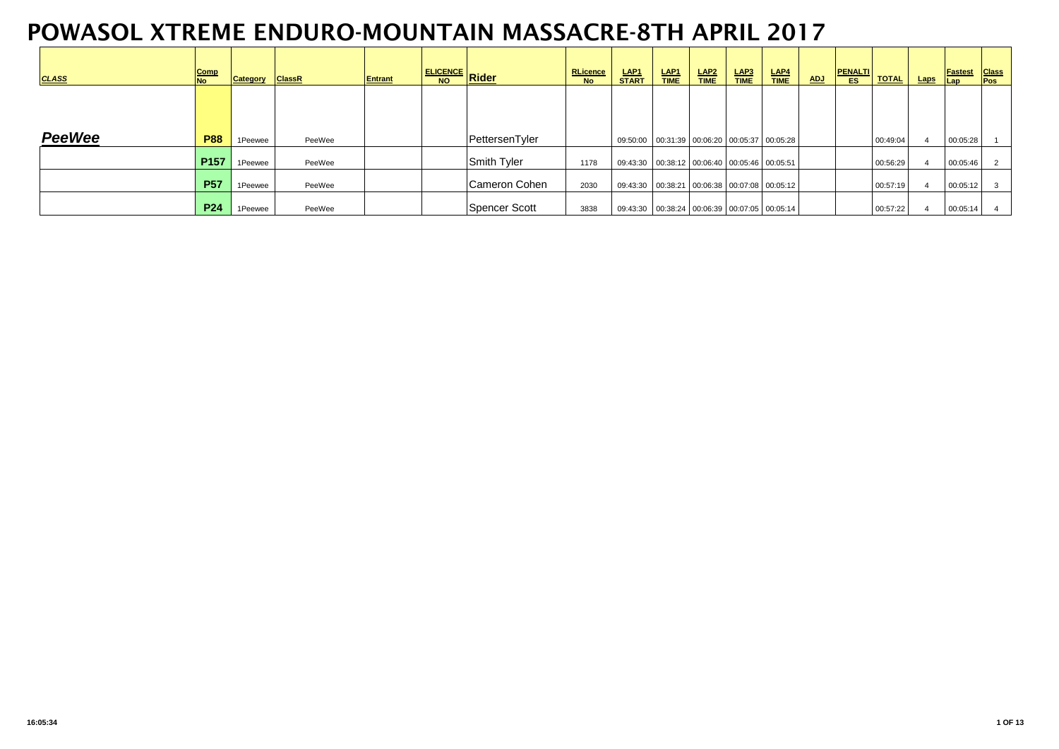| <b>CLASS</b>  | Comp<br><b>No</b> | Category | <b>ClassR</b> | Entrant | <u>ELICENCE Rider</u> | <b>RLicence</b><br><b>No</b> | LAP <sub>1</sub><br><b>START</b>                 | LAP <sub>1</sub><br><b>TIME</b> | LAP2<br><b>TIME</b> | LAP3<br><b>TIME</b> | LAP4<br><b>TIME</b> | <b>ADJ</b> | <b>PENALTI</b><br><b>ES</b> | <b>TOTAL</b> | <b>Laps</b> | <b>Fastest</b><br> Lap | <b>Class</b><br><b>Pos</b> |
|---------------|-------------------|----------|---------------|---------|-----------------------|------------------------------|--------------------------------------------------|---------------------------------|---------------------|---------------------|---------------------|------------|-----------------------------|--------------|-------------|------------------------|----------------------------|
|               |                   |          |               |         |                       |                              |                                                  |                                 |                     |                     |                     |            |                             |              |             |                        |                            |
| <b>PeeWee</b> | <b>P88</b>        | 1Peewee  | PeeWee        |         | PettersenTyler        |                              | 09:50:00 00:31:39 00:06:20 00:05:37 00:05:28     |                                 |                     |                     |                     |            |                             | 00:49:04     |             | 00:05:28               |                            |
|               | P <sub>157</sub>  | 1Peewee  | PeeWee        |         | Smith Tyler           | 1178                         | 09:43:30  00:38:12  00:06:40  00:05:46  00:05:51 |                                 |                     |                     |                     |            |                             | 00:56:29     |             | 00:05:46               |                            |
|               | <b>P57</b>        | 1Peewee  | PeeWee        |         | Cameron Cohen         | 2030                         | 09:43:30  00:38:21  00:06:38  00:07:08  00:05:12 |                                 |                     |                     |                     |            |                             | 00:57:19     |             | 00:05:12               | 3                          |
|               | <b>P24</b>        | 1Peewee  | PeeWee        |         | Spencer Scott         | 3838                         | 09:43:30  00:38:24  00:06:39  00:07:05  00:05:14 |                                 |                     |                     |                     |            |                             | 00:57:22     |             | 00:05:14               |                            |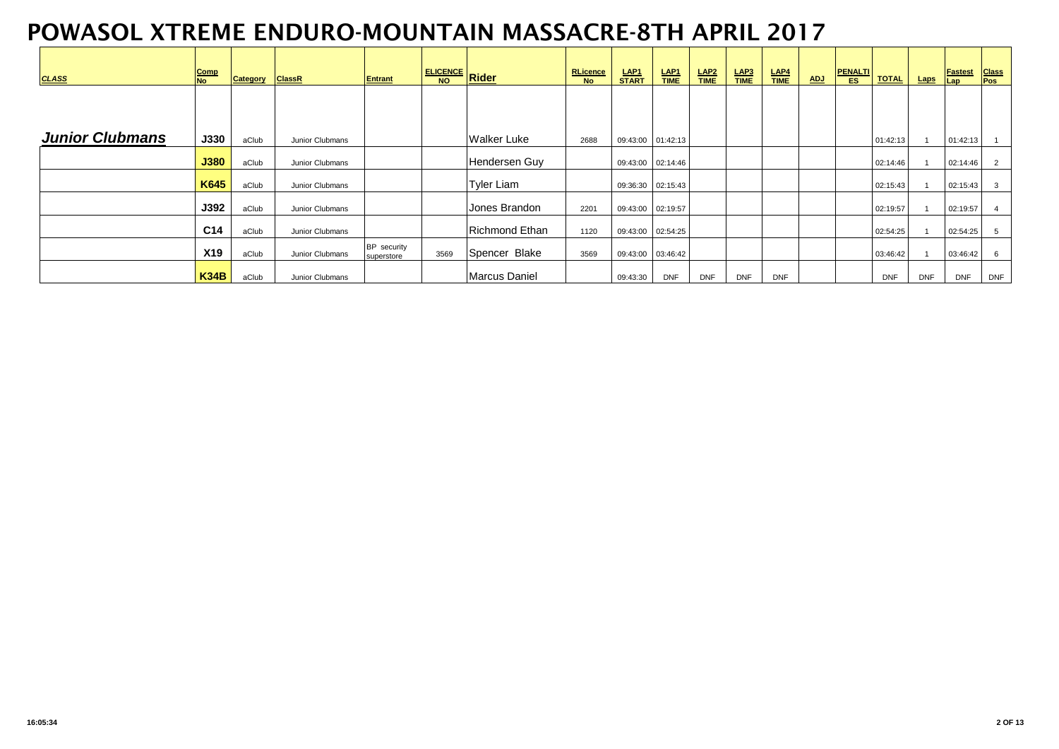| <b>CLASS</b>           | Comp<br><b>No</b> | Category | <b>ClassR</b>   | <b>Entrant</b>            |      | <u>ELICENCE Rider</u> | <b>RLicence</b><br><b>No</b> | <b>LAP1</b><br><b>START</b> | $rac{\text{LAP1}}{\text{TIME}}$ | LAP <sub>2</sub><br><b>TIME</b> | $\frac{\mathsf{LAP3}}{\mathsf{TIME}}$ | LAP4<br><b>TIME</b> | <b>ADJ</b> | <b>PENALTI</b><br><b>ES</b> | <b>TOTAL</b> | <b>Laps</b> | <b>Fastest</b><br>Lap | <b>Class</b><br>Pos |
|------------------------|-------------------|----------|-----------------|---------------------------|------|-----------------------|------------------------------|-----------------------------|---------------------------------|---------------------------------|---------------------------------------|---------------------|------------|-----------------------------|--------------|-------------|-----------------------|---------------------|
|                        |                   |          |                 |                           |      |                       |                              |                             |                                 |                                 |                                       |                     |            |                             |              |             |                       |                     |
| <b>Junior Clubmans</b> |                   |          |                 |                           |      |                       |                              |                             |                                 |                                 |                                       |                     |            |                             |              |             |                       |                     |
|                        | <b>J330</b>       | aClub    | Junior Clubmans |                           |      | <b>Walker Luke</b>    | 2688                         |                             | 09:43:00 01:42:13               |                                 |                                       |                     |            |                             | 01:42:13     |             | 01:42:13              |                     |
|                        | J380              | aClub    | Junior Clubmans |                           |      | Hendersen Guy         |                              |                             | 09:43:00 02:14:46               |                                 |                                       |                     |            |                             | 02:14:46     |             | 02:14:46              | 2                   |
|                        | K645              | aClub    | Junior Clubmans |                           |      | <b>Tyler Liam</b>     |                              | 09:36:30 02:15:43           |                                 |                                 |                                       |                     |            |                             | 02:15:43     |             | 02:15:43              | 3                   |
|                        | <b>J392</b>       | aClub    | Junior Clubmans |                           |      | Jones Brandon         | 2201                         | 09:43:00 02:19:57           |                                 |                                 |                                       |                     |            |                             | 02:19:57     |             | 02:19:57              |                     |
|                        | C <sub>14</sub>   | aClub    | Junior Clubmans |                           |      | Richmond Ethan        | 1120                         | 09:43:00 02:54:25           |                                 |                                 |                                       |                     |            |                             | 02:54:25     |             | 02:54:25              | 5                   |
|                        | <b>X19</b>        | aClub    | Junior Clubmans | BP security<br>superstore | 3569 | Spencer Blake         | 3569                         | 09:43:00  03:46:42          |                                 |                                 |                                       |                     |            |                             | 03:46:42     |             | 03:46:42              | 6                   |
|                        | <b>K34B</b>       | aClub    | Junior Clubmans |                           |      | <b>Marcus Daniel</b>  |                              | 09:43:30                    | <b>DNF</b>                      | <b>DNF</b>                      | <b>DNF</b>                            | <b>DNF</b>          |            |                             | <b>DNF</b>   | <b>DNF</b>  | <b>DNF</b>            | <b>DNF</b>          |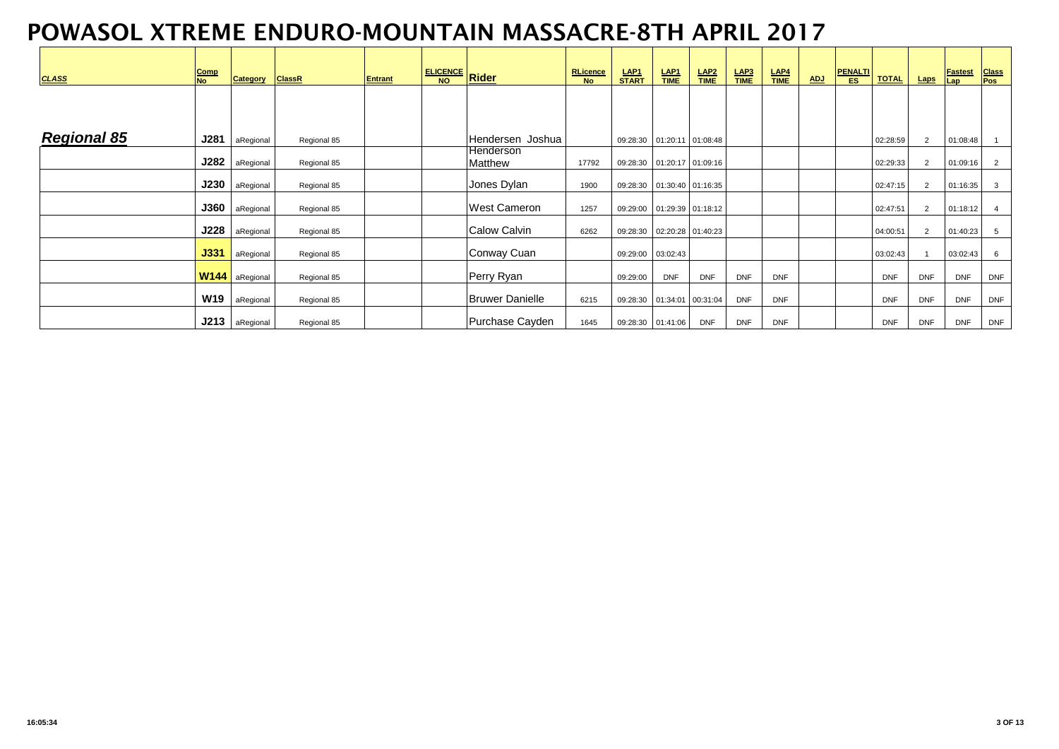| <b>CLASS</b>       | Comp<br><b>No</b> | Category  | <b>ClassR</b> | <b>Entrant</b> | <b>ELICENCE</b> Rider |                        | RLicence<br>No | LAP1<br>START                | $rac{\text{LAP1}}{\text{TIME}}$ | $rac{\text{LAP2}}{\text{TIME}}$ | $rac{\text{LAP3}}{\text{TIME}}$ | $rac{\text{LAP4}}{\text{TIME}}$ | <b>ADJ</b> | PENALTI<br>ES | <b>TOTAL</b> | <b>Laps</b>    | <b>Fastest</b><br>Lap | <b>Class</b><br>Pos |
|--------------------|-------------------|-----------|---------------|----------------|-----------------------|------------------------|----------------|------------------------------|---------------------------------|---------------------------------|---------------------------------|---------------------------------|------------|---------------|--------------|----------------|-----------------------|---------------------|
|                    |                   |           |               |                |                       |                        |                |                              |                                 |                                 |                                 |                                 |            |               |              |                |                       |                     |
| <b>Regional 85</b> | J281              | aRegional | Regional 85   |                |                       | Hendersen Joshua       |                | 09:28:30  01:20:11  01:08:48 |                                 |                                 |                                 |                                 |            |               | 02:28:59     | $\overline{2}$ | 01:08:48              |                     |
|                    | J282              | aRegional | Regional 85   |                |                       | lHenderson<br>Matthew  | 17792          | 09:28:30  01:20:17  01:09:16 |                                 |                                 |                                 |                                 |            |               | 02:29:33     | $\overline{2}$ | 01:09:16              | $\overline{2}$      |
|                    | J230              | aRegional | Regional 85   |                |                       | Jones Dylan            | 1900           | 09:28:30  01:30:40  01:16:35 |                                 |                                 |                                 |                                 |            |               | 02:47:15     | $\overline{2}$ | 01:16:35              | 3                   |
|                    | <b>J360</b>       | aRegional | Regional 85   |                |                       | <b>West Cameron</b>    | 1257           | 09:29:00  01:29:39  01:18:12 |                                 |                                 |                                 |                                 |            |               | 02:47:51     | $\overline{2}$ | 01:18:12              | $\overline{4}$      |
|                    | J228              | aRegional | Regional 85   |                |                       | Calow Calvin           | 6262           | 09:28:30  02:20:28  01:40:23 |                                 |                                 |                                 |                                 |            |               | 04:00:51     | $\overline{2}$ | 01:40:23              | 5                   |
|                    | J331              | aRegional | Regional 85   |                |                       | Conway Cuan            |                | 09:29:00 03:02:43            |                                 |                                 |                                 |                                 |            |               | 03:02:43     |                | 03:02:43              | 6                   |
|                    | <b>W144</b>       | aRegional | Regional 85   |                |                       | Perry Ryan             |                | 09:29:00                     | <b>DNF</b>                      | <b>DNF</b>                      | <b>DNF</b>                      | <b>DNF</b>                      |            |               | <b>DNF</b>   | <b>DNF</b>     | <b>DNF</b>            | <b>DNF</b>          |
|                    | <b>W19</b>        | aRegional | Regional 85   |                |                       | <b>Bruwer Danielle</b> | 6215           | 09:28:30  01:34:01  00:31:04 |                                 |                                 | <b>DNF</b>                      | <b>DNF</b>                      |            |               | <b>DNF</b>   | <b>DNF</b>     | <b>DNF</b>            | <b>DNF</b>          |
|                    | J213              | aRegional | Regional 85   |                |                       | Purchase Cayden        | 1645           | 09:28:30 01:41:06            |                                 | <b>DNF</b>                      | <b>DNF</b>                      | <b>DNF</b>                      |            |               | <b>DNF</b>   | <b>DNF</b>     | <b>DNF</b>            | <b>DNF</b>          |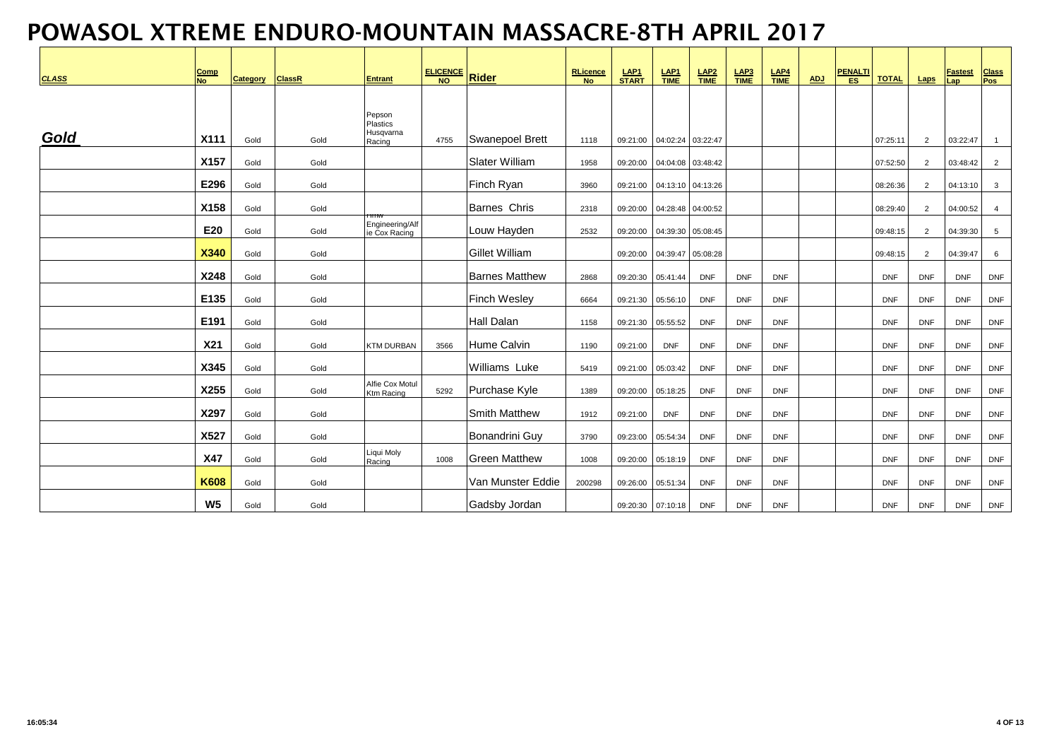| <b>CLASS</b> | <u>Comp</u><br><b>No</b> | Category | <b>ClassR</b> | <b>Entrant</b>                   | ELICENCE | <b>Rider</b>          | RLicence<br><b>No</b> | LAP1<br>START     | $rac{\text{LAP1}}{\text{TIME}}$ | $rac{\text{LAP2}}{\text{TIME}}$ | $rac{\mathsf{LAP3}}{\mathsf{TIME}}$ | $rac{\mathsf{LAP4}}{\mathsf{TIME}}$ | <b>ADJ</b> | <b>PENALTI</b><br>ES | <b>TOTAL</b> | Laps           | <b>Fastest</b><br>Lap | <b>Class</b><br>Pos |
|--------------|--------------------------|----------|---------------|----------------------------------|----------|-----------------------|-----------------------|-------------------|---------------------------------|---------------------------------|-------------------------------------|-------------------------------------|------------|----------------------|--------------|----------------|-----------------------|---------------------|
|              |                          |          |               | Pepson<br>Plastics               |          |                       |                       |                   |                                 |                                 |                                     |                                     |            |                      |              |                |                       |                     |
| Gold         | X111                     | Gold     | Gold          | Husqvarna<br>Racing              | 4755     | Swanepoel Brett       | 1118                  | 09:21:00          | 04:02:24 03:22:47               |                                 |                                     |                                     |            |                      | 07:25:11     | 2              | 03:22:47              | $\overline{1}$      |
|              | X157                     | Gold     | Gold          |                                  |          | <b>Slater William</b> | 1958                  | 09:20:00          | 04:04:08 03:48:42               |                                 |                                     |                                     |            |                      | 07:52:50     | 2              | 03:48:42              | $\overline{2}$      |
|              | E296                     | Gold     | Gold          |                                  |          | Finch Ryan            | 3960                  | 09:21:00          | 04:13:10 04:13:26               |                                 |                                     |                                     |            |                      | 08:26:36     | 2              | 04:13:10              | $\mathbf{3}$        |
|              | X158                     | Gold     | Gold          |                                  |          | <b>Barnes Chris</b>   | 2318                  | 09:20:00          | 04:28:48 04:00:52               |                                 |                                     |                                     |            |                      | 08:29:40     | 2              | 04:00:52              | $\overline{4}$      |
|              | E20                      | Gold     | Gold          | Engineering/Alf<br>ie Cox Racing |          | Louw Hayden           | 2532                  | 09:20:00          | 04:39:30 05:08:45               |                                 |                                     |                                     |            |                      | 09:48:15     | $\overline{2}$ | 04:39:30              | 5                   |
|              | <b>X340</b>              | Gold     | Gold          |                                  |          | <b>Gillet William</b> |                       | 09:20:00          | 04:39:47 05:08:28               |                                 |                                     |                                     |            |                      | 09:48:15     | 2              | 04:39:47              | 6                   |
|              | X248                     | Gold     | Gold          |                                  |          | <b>Barnes Matthew</b> | 2868                  | 09:20:30          | 05:41:44                        | <b>DNF</b>                      | <b>DNF</b>                          | <b>DNF</b>                          |            |                      | <b>DNF</b>   | <b>DNF</b>     | <b>DNF</b>            | <b>DNF</b>          |
|              | E135                     | Gold     | Gold          |                                  |          | <b>Finch Wesley</b>   | 6664                  | 09:21:30          | 05:56:10                        | <b>DNF</b>                      | <b>DNF</b>                          | <b>DNF</b>                          |            |                      | <b>DNF</b>   | <b>DNF</b>     | <b>DNF</b>            | <b>DNF</b>          |
|              | E191                     | Gold     | Gold          |                                  |          | <b>Hall Dalan</b>     | 1158                  | 09:21:30          | 05:55:52                        | <b>DNF</b>                      | <b>DNF</b>                          | <b>DNF</b>                          |            |                      | <b>DNF</b>   | <b>DNF</b>     | <b>DNF</b>            | <b>DNF</b>          |
|              | X21                      | Gold     | Gold          | <b>KTM DURBAN</b>                | 3566     | Hume Calvin           | 1190                  | 09:21:00          | <b>DNF</b>                      | <b>DNF</b>                      | <b>DNF</b>                          | <b>DNF</b>                          |            |                      | <b>DNF</b>   | <b>DNF</b>     | <b>DNF</b>            | <b>DNF</b>          |
|              | X345                     | Gold     | Gold          |                                  |          | Williams Luke         | 5419                  | 09:21:00          | 05:03:42                        | <b>DNF</b>                      | <b>DNF</b>                          | <b>DNF</b>                          |            |                      | <b>DNF</b>   | <b>DNF</b>     | <b>DNF</b>            | <b>DNF</b>          |
|              | X255                     | Gold     | Gold          | Alfie Cox Motul<br>Ktm Racing    | 5292     | Purchase Kyle         | 1389                  | 09:20:00          | 05:18:25                        | <b>DNF</b>                      | <b>DNF</b>                          | <b>DNF</b>                          |            |                      | <b>DNF</b>   | <b>DNF</b>     | <b>DNF</b>            | <b>DNF</b>          |
|              | X297                     | Gold     | Gold          |                                  |          | <b>Smith Matthew</b>  | 1912                  | 09:21:00          | <b>DNF</b>                      | <b>DNF</b>                      | <b>DNF</b>                          | <b>DNF</b>                          |            |                      | <b>DNF</b>   | <b>DNF</b>     | <b>DNF</b>            | <b>DNF</b>          |
|              | X527                     | Gold     | Gold          |                                  |          | <b>Bonandrini Guy</b> | 3790                  | 09:23:00          | 05:54:34                        | <b>DNF</b>                      | <b>DNF</b>                          | <b>DNF</b>                          |            |                      | <b>DNF</b>   | <b>DNF</b>     | <b>DNF</b>            | <b>DNF</b>          |
|              | <b>X47</b>               | Gold     | Gold          | Liqui Moly<br>Racing             | 1008     | <b>Green Matthew</b>  | 1008                  | 09:20:00          | 05:18:19                        | <b>DNF</b>                      | <b>DNF</b>                          | <b>DNF</b>                          |            |                      | <b>DNF</b>   | <b>DNF</b>     | <b>DNF</b>            | <b>DNF</b>          |
|              | <b>K608</b>              | Gold     | Gold          |                                  |          | Van Munster Eddie     | 200298                | 09:26:00          | 05:51:34                        | <b>DNF</b>                      | <b>DNF</b>                          | <b>DNF</b>                          |            |                      | <b>DNF</b>   | <b>DNF</b>     | <b>DNF</b>            | <b>DNF</b>          |
|              | W <sub>5</sub>           | Gold     | Gold          |                                  |          | Gadsby Jordan         |                       | 09:20:30 07:10:18 |                                 | <b>DNF</b>                      | <b>DNF</b>                          | <b>DNF</b>                          |            |                      | <b>DNF</b>   | <b>DNF</b>     | <b>DNF</b>            | <b>DNF</b>          |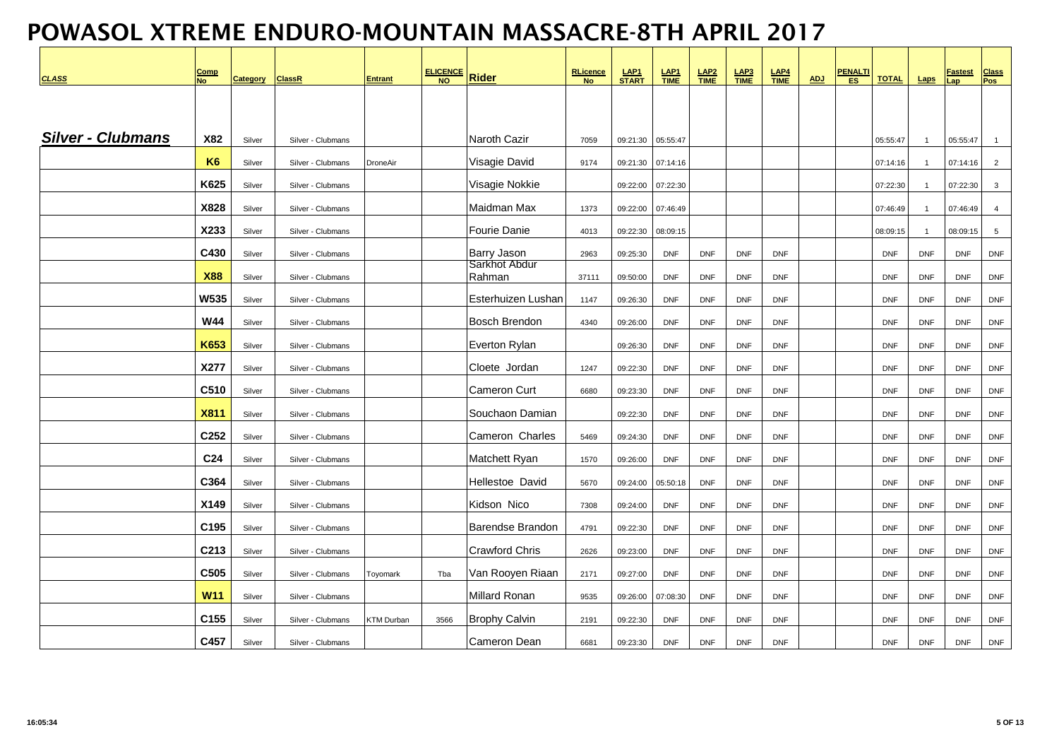| <b>CLASS</b>             | Comp<br><b>No</b> | <b>Category</b> | <b>ClassR</b>     | <b>Entrant</b>  | ELICENCE | <b>Rider</b>            | <b>RLicence</b><br><b>No</b> | LAP1<br>START | $rac{\text{LAP1}}{\text{TIME}}$ | $LAP2$<br>TIME | $\frac{\text{LAP3}}{\text{TIME}}$ | $rac{\text{LAP4}}{\text{TIME}}$ | <b>ADJ</b> | <u>PENALTI</u> | <b>TOTAL</b> | Laps           | <u>Fastest</u><br>Lap | <b>Class</b><br>Pos |
|--------------------------|-------------------|-----------------|-------------------|-----------------|----------|-------------------------|------------------------------|---------------|---------------------------------|----------------|-----------------------------------|---------------------------------|------------|----------------|--------------|----------------|-----------------------|---------------------|
|                          |                   |                 |                   |                 |          |                         |                              |               |                                 |                |                                   |                                 |            |                |              |                |                       |                     |
| <b>Silver - Clubmans</b> | X82               | Silver          | Silver - Clubmans |                 |          | <b>Naroth Cazir</b>     | 7059                         | 09:21:30      | 05:55:47                        |                |                                   |                                 |            |                | 05:55:47     | $\overline{1}$ | 05:55:47              | $\overline{1}$      |
|                          | K <sub>6</sub>    | Silver          | Silver - Clubmans | DroneAir        |          | Visagie David           | 9174                         | 09:21:30      | 07:14:16                        |                |                                   |                                 |            |                | 07:14:16     | $\overline{1}$ | 07:14:16              | $\overline{2}$      |
|                          | K625              | Silver          | Silver - Clubmans |                 |          | Visagie Nokkie          |                              | 09:22:00      | 07:22:30                        |                |                                   |                                 |            |                | 07:22:30     | $\overline{1}$ | 07:22:30              | $\mathbf{3}$        |
|                          | X828              | Silver          | Silver - Clubmans |                 |          | Maidman Max             | 1373                         | 09:22:00      | 07:46:49                        |                |                                   |                                 |            |                | 07:46:49     | $\overline{1}$ | 07:46:49              | $\overline{4}$      |
|                          | X233              | Silver          | Silver - Clubmans |                 |          | <b>Fourie Danie</b>     | 4013                         | 09:22:30      | 08:09:15                        |                |                                   |                                 |            |                | 08:09:15     | $\overline{1}$ | 08:09:15              | $5\phantom{.0}$     |
|                          | C430              | Silver          | Silver - Clubmans |                 |          | <b>Barry Jason</b>      | 2963                         | 09:25:30      | <b>DNF</b>                      | <b>DNF</b>     | <b>DNF</b>                        | <b>DNF</b>                      |            |                | <b>DNF</b>   | <b>DNF</b>     | <b>DNF</b>            | <b>DNF</b>          |
|                          | <b>X88</b>        | Silver          | Silver - Clubmans |                 |          | Sarkhot Abdur<br>Rahman | 37111                        | 09:50:00      | <b>DNF</b>                      | <b>DNF</b>     | <b>DNF</b>                        | <b>DNF</b>                      |            |                | <b>DNF</b>   | <b>DNF</b>     | <b>DNF</b>            | <b>DNF</b>          |
|                          | W535              | Silver          | Silver - Clubmans |                 |          | Esterhuizen Lushan      | 1147                         | 09:26:30      | <b>DNF</b>                      | <b>DNF</b>     | <b>DNF</b>                        | <b>DNF</b>                      |            |                | <b>DNF</b>   | <b>DNF</b>     | <b>DNF</b>            | <b>DNF</b>          |
|                          | <b>W44</b>        | Silver          | Silver - Clubmans |                 |          | <b>Bosch Brendon</b>    | 4340                         | 09:26:00      | <b>DNF</b>                      | <b>DNF</b>     | <b>DNF</b>                        | <b>DNF</b>                      |            |                | <b>DNF</b>   | <b>DNF</b>     | <b>DNF</b>            | <b>DNF</b>          |
|                          | <b>K653</b>       | Silver          | Silver - Clubmans |                 |          | Everton Rylan           |                              | 09:26:30      | <b>DNF</b>                      | <b>DNF</b>     | <b>DNF</b>                        | <b>DNF</b>                      |            |                | <b>DNF</b>   | <b>DNF</b>     | <b>DNF</b>            | <b>DNF</b>          |
|                          | X277              | Silver          | Silver - Clubmans |                 |          | Cloete Jordan           | 1247                         | 09:22:30      | <b>DNF</b>                      | <b>DNF</b>     | <b>DNF</b>                        | <b>DNF</b>                      |            |                | <b>DNF</b>   | <b>DNF</b>     | <b>DNF</b>            | <b>DNF</b>          |
|                          | C510              | Silver          | Silver - Clubmans |                 |          | <b>Cameron Curt</b>     | 6680                         | 09:23:30      | <b>DNF</b>                      | <b>DNF</b>     | <b>DNF</b>                        | <b>DNF</b>                      |            |                | <b>DNF</b>   | <b>DNF</b>     | <b>DNF</b>            | <b>DNF</b>          |
|                          | <b>X811</b>       | Silver          | Silver - Clubmans |                 |          | Souchaon Damian         |                              | 09:22:30      | <b>DNF</b>                      | <b>DNF</b>     | <b>DNF</b>                        | <b>DNF</b>                      |            |                | <b>DNF</b>   | <b>DNF</b>     | <b>DNF</b>            | <b>DNF</b>          |
|                          | C252              | Silver          | Silver - Clubmans |                 |          | Cameron Charles         | 5469                         | 09:24:30      | <b>DNF</b>                      | <b>DNF</b>     | <b>DNF</b>                        | <b>DNF</b>                      |            |                | <b>DNF</b>   | <b>DNF</b>     | <b>DNF</b>            | <b>DNF</b>          |
|                          | C <sub>24</sub>   | Silver          | Silver - Clubmans |                 |          | Matchett Ryan           | 1570                         | 09:26:00      | <b>DNF</b>                      | <b>DNF</b>     | <b>DNF</b>                        | <b>DNF</b>                      |            |                | <b>DNF</b>   | <b>DNF</b>     | <b>DNF</b>            | <b>DNF</b>          |
|                          | C364              | Silver          | Silver - Clubmans |                 |          | Hellestoe David         | 5670                         | 09:24:00      | 05:50:18                        | <b>DNF</b>     | <b>DNF</b>                        | <b>DNF</b>                      |            |                | <b>DNF</b>   | <b>DNF</b>     | <b>DNF</b>            | <b>DNF</b>          |
|                          | X149              | Silver          | Silver - Clubmans |                 |          | Kidson Nico             | 7308                         | 09:24:00      | <b>DNF</b>                      | <b>DNF</b>     | <b>DNF</b>                        | <b>DNF</b>                      |            |                | <b>DNF</b>   | <b>DNF</b>     | <b>DNF</b>            | <b>DNF</b>          |
|                          | C <sub>195</sub>  | Silver          | Silver - Clubmans |                 |          | <b>Barendse Brandon</b> | 4791                         | 09:22:30      | <b>DNF</b>                      | <b>DNF</b>     | <b>DNF</b>                        | <b>DNF</b>                      |            |                | <b>DNF</b>   | <b>DNF</b>     | <b>DNF</b>            | <b>DNF</b>          |
|                          | C213              | Silver          | Silver - Clubmans |                 |          | <b>Crawford Chris</b>   | 2626                         | 09:23:00      | <b>DNF</b>                      | <b>DNF</b>     | <b>DNF</b>                        | <b>DNF</b>                      |            |                | <b>DNF</b>   | <b>DNF</b>     | <b>DNF</b>            | <b>DNF</b>          |
|                          | C505              | Silver          | Silver - Clubmans | <b>Toyomark</b> | Tba      | Van Rooyen Riaan        | 2171                         | 09:27:00      | <b>DNF</b>                      | <b>DNF</b>     | <b>DNF</b>                        | <b>DNF</b>                      |            |                | <b>DNF</b>   | <b>DNF</b>     | <b>DNF</b>            | <b>DNF</b>          |
|                          | <b>W11</b>        | Silver          | Silver - Clubmans |                 |          | <b>Millard Ronan</b>    | 9535                         | 09:26:00      | 07:08:30                        | <b>DNF</b>     | <b>DNF</b>                        | <b>DNF</b>                      |            |                | <b>DNF</b>   | <b>DNF</b>     | <b>DNF</b>            | <b>DNF</b>          |
|                          | C155              | Silver          | Silver - Clubmans | KTM Durban      | 3566     | <b>Brophy Calvin</b>    | 2191                         | 09:22:30      | <b>DNF</b>                      | <b>DNF</b>     | <b>DNF</b>                        | <b>DNF</b>                      |            |                | <b>DNF</b>   | <b>DNF</b>     | <b>DNF</b>            | <b>DNF</b>          |
|                          | C457              | Silver          | Silver - Clubmans |                 |          | <b>Cameron Dean</b>     | 6681                         | 09:23:30      | <b>DNF</b>                      | <b>DNF</b>     | <b>DNF</b>                        | <b>DNF</b>                      |            |                | <b>DNF</b>   | <b>DNF</b>     | <b>DNF</b>            | <b>DNF</b>          |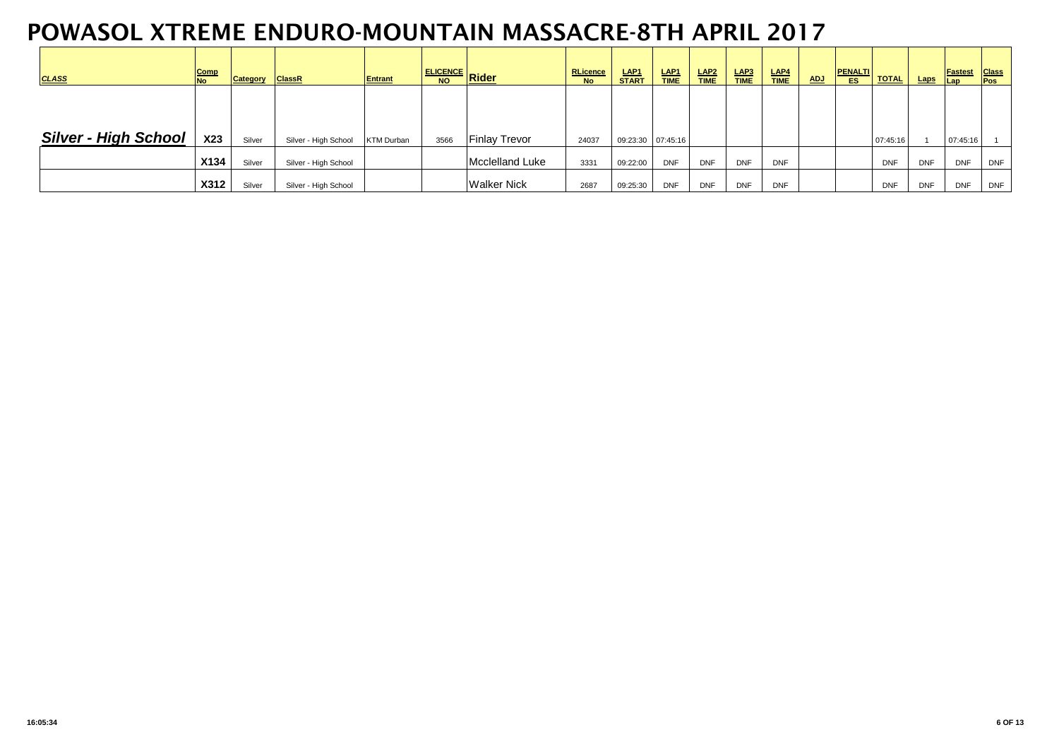| <b>CLASS</b>                | Comp<br><b>No</b> | Category | <b>ClassR</b>        | <b>Entrant</b>    |      | <u>ELICENCE Rider Number</u> | <b>RLicence</b><br><b>No</b> | LAP1<br><b>START</b> | LAP <sub>1</sub><br><b>TIME</b> | LAP <sub>2</sub><br><b>TIME</b> | LAP3<br><b>TIME</b> | LAP4<br><b>TIME</b> | <b>ADJ</b> | <b>PENALTI</b><br><b>ES</b> | <b>TOTAL</b> | Laps       | <b>Fastest</b><br><b>Lap</b> | <b>Class</b><br>Pos |
|-----------------------------|-------------------|----------|----------------------|-------------------|------|------------------------------|------------------------------|----------------------|---------------------------------|---------------------------------|---------------------|---------------------|------------|-----------------------------|--------------|------------|------------------------------|---------------------|
|                             |                   |          |                      |                   |      |                              |                              |                      |                                 |                                 |                     |                     |            |                             |              |            |                              |                     |
| <b>Silver - High School</b> | X23               | Silver   | Silver - High School | <b>KTM Durban</b> | 3566 | <b>Finlay Trevor</b>         | 24037                        | 09:23:30 07:45:16    |                                 |                                 |                     |                     |            |                             | 07:45:16     |            | 07:45:16                     |                     |
|                             | X134              | Silver   | Silver - High School |                   |      | Mcclelland Luke              | 3331                         | 09:22:00             | <b>DNF</b>                      | <b>DNF</b>                      | <b>DNF</b>          | <b>DNF</b>          |            |                             | <b>DNF</b>   | <b>DNF</b> | <b>DNF</b>                   | <b>DNF</b>          |
|                             | <b>X312</b>       | Silver   | Silver - High School |                   |      | <b>Walker Nick</b>           | 2687                         | 09:25:30             | <b>DNF</b>                      | <b>DNF</b>                      | <b>DNF</b>          | <b>DNF</b>          |            |                             | <b>DNF</b>   | <b>DNF</b> | <b>DNF</b>                   | <b>DNF</b>          |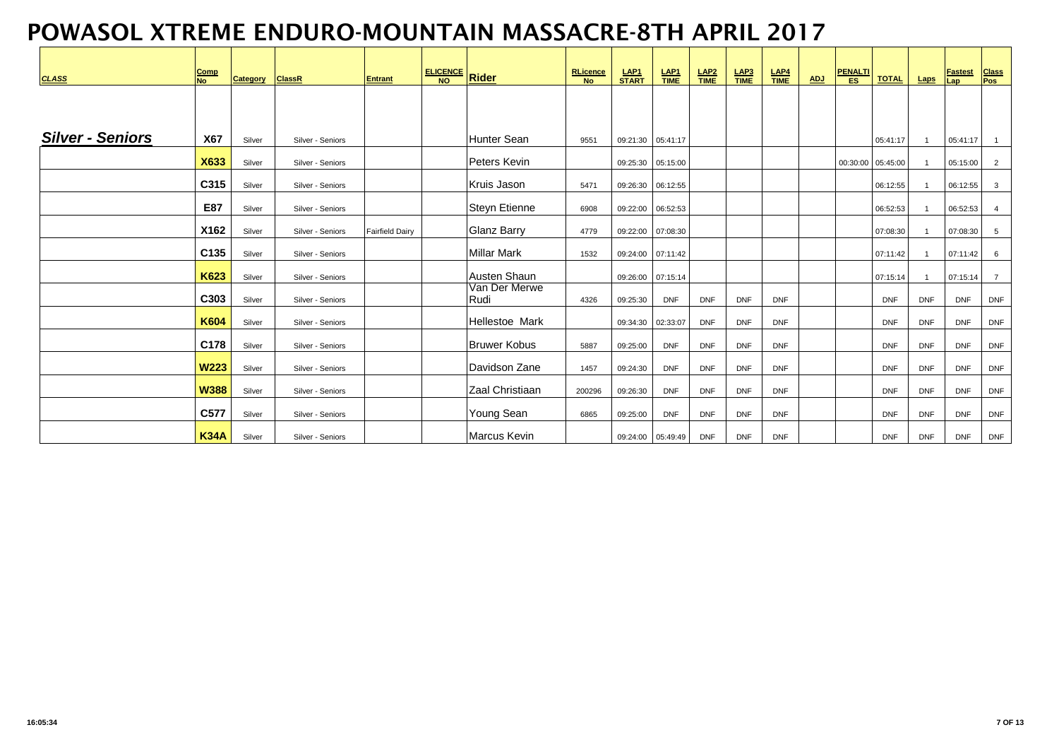| <b>CLASS</b>            | Comp<br><b>No</b> | Category | <b>ClassR</b>    | <b>Entrant</b>         | ELICENCE Rider |                       | <b>RLicence</b><br>No | LAP <sub>1</sub><br>START | $rac{\mathsf{LAP1}}{\mathsf{TIME}}$ | $LAP2\nTIME$ | $rac{\text{LAP3}}{\text{TIME}}$ | $rac{\text{LAP4}}{\text{TIME}}$ | <b>ADJ</b> | <b>PENALTI</b><br>ES | <b>TOTAL</b>      | Laps           | <b>Fastest</b><br>Lap | <b>Class</b><br><b>Pos</b> |
|-------------------------|-------------------|----------|------------------|------------------------|----------------|-----------------------|-----------------------|---------------------------|-------------------------------------|--------------|---------------------------------|---------------------------------|------------|----------------------|-------------------|----------------|-----------------------|----------------------------|
|                         |                   |          |                  |                        |                |                       |                       |                           |                                     |              |                                 |                                 |            |                      |                   |                |                       |                            |
| <b>Silver - Seniors</b> | <b>X67</b>        | Silver   | Silver - Seniors |                        |                | Hunter Sean           | 9551                  | 09:21:30  05:41:17        |                                     |              |                                 |                                 |            |                      | 05:41:17          | $\overline{1}$ | 05:41:17              | $\overline{1}$             |
|                         | <b>X633</b>       | Silver   | Silver - Seniors |                        |                | Peters Kevin          |                       | 09:25:30  05:15:00        |                                     |              |                                 |                                 |            |                      | 00:30:00 05:45:00 | $\overline{1}$ | 05:15:00              | 2                          |
|                         | C315              | Silver   | Silver - Seniors |                        |                | Kruis Jason           | 5471                  | 09:26:30 06:12:55         |                                     |              |                                 |                                 |            |                      | 06:12:55          |                | 06:12:55              | $\mathbf{3}$               |
|                         | E87               | Silver   | Silver - Seniors |                        |                | Steyn Etienne         | 6908                  | 09:22:00  06:52:53        |                                     |              |                                 |                                 |            |                      | 06:52:53          |                | 06:52:53              | $\overline{4}$             |
|                         | X162              | Silver   | Silver - Seniors | <b>Fairfield Dairy</b> |                | <b>Glanz Barry</b>    | 4779                  | 09:22:00  07:08:30        |                                     |              |                                 |                                 |            |                      | 07:08:30          |                | 07:08:30              | 5                          |
|                         | C135              | Silver   | Silver - Seniors |                        |                | Millar Mark           | 1532                  | 09:24:00 07:11:42         |                                     |              |                                 |                                 |            |                      | 07:11:42          | $\overline{1}$ | 07:11:42              | 6                          |
|                         | K623              | Silver   | Silver - Seniors |                        |                | Austen Shaun          |                       | 09:26:00 07:15:14         |                                     |              |                                 |                                 |            |                      | 07:15:14          |                | 07:15:14              | $\overline{7}$             |
|                         | C303              | Silver   | Silver - Seniors |                        |                | Van Der Merwe<br>Rudi | 4326                  | 09:25:30                  | <b>DNF</b>                          | <b>DNF</b>   | <b>DNF</b>                      | <b>DNF</b>                      |            |                      | <b>DNF</b>        | <b>DNF</b>     | <b>DNF</b>            | <b>DNF</b>                 |
|                         | <b>K604</b>       | Silver   | Silver - Seniors |                        |                | Hellestoe Mark        |                       | 09:34:30 02:33:07         |                                     | <b>DNF</b>   | <b>DNF</b>                      | <b>DNF</b>                      |            |                      | <b>DNF</b>        | <b>DNF</b>     | <b>DNF</b>            | <b>DNF</b>                 |
|                         | C178              | Silver   | Silver - Seniors |                        |                | <b>Bruwer Kobus</b>   | 5887                  | 09:25:00                  | <b>DNF</b>                          | <b>DNF</b>   | <b>DNF</b>                      | <b>DNF</b>                      |            |                      | <b>DNF</b>        | <b>DNF</b>     | <b>DNF</b>            | <b>DNF</b>                 |
|                         | <b>W223</b>       | Silver   | Silver - Seniors |                        |                | Davidson Zane         | 1457                  | 09:24:30                  | <b>DNF</b>                          | <b>DNF</b>   | <b>DNF</b>                      | <b>DNF</b>                      |            |                      | <b>DNF</b>        | <b>DNF</b>     | <b>DNF</b>            | <b>DNF</b>                 |
|                         | <b>W388</b>       | Silver   | Silver - Seniors |                        |                | Zaal Christiaan       | 200296                | 09:26:30                  | <b>DNF</b>                          | <b>DNF</b>   | <b>DNF</b>                      | <b>DNF</b>                      |            |                      | <b>DNF</b>        | <b>DNF</b>     | <b>DNF</b>            | <b>DNF</b>                 |
|                         | C577              | Silver   | Silver - Seniors |                        |                | Young Sean            | 6865                  | 09:25:00                  | <b>DNF</b>                          | <b>DNF</b>   | <b>DNF</b>                      | <b>DNF</b>                      |            |                      | <b>DNF</b>        | <b>DNF</b>     | <b>DNF</b>            | <b>DNF</b>                 |
|                         | <b>K34A</b>       | Silver   | Silver - Seniors |                        |                | <b>Marcus Kevin</b>   |                       | 09:24:00  05:49:49        |                                     | <b>DNF</b>   | <b>DNF</b>                      | <b>DNF</b>                      |            |                      | <b>DNF</b>        | <b>DNF</b>     | <b>DNF</b>            | <b>DNF</b>                 |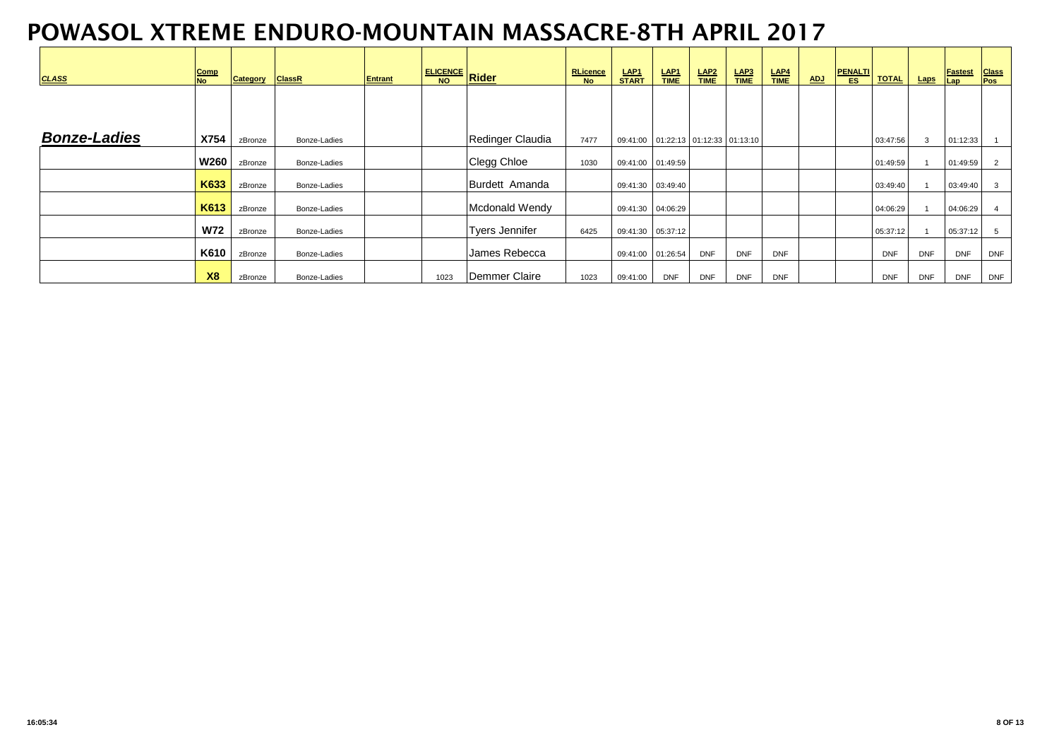| <b>CLASS</b>        | <b>Comp</b><br><b>No</b> | Category | <b>ClassR</b> | <b>Entrant</b> | ELICENCE Rider |                  | <b>RLicence</b><br><b>No</b> | LAP <sub>1</sub><br><b>START</b>       | LAP <sub>1</sub><br><b>TIME</b> | LAP <sub>2</sub><br>TIME | $rac{\mathsf{LAP3}}{\mathsf{TIME}}$ | LAP4<br><b>TIME</b> | <b>ADJ</b> | <b>PENALTI</b><br><b>ES</b> | <b>TOTAL</b> | Laps       | <b>Fastest</b><br>Lap | <b>Class</b><br><b>Pos</b> |
|---------------------|--------------------------|----------|---------------|----------------|----------------|------------------|------------------------------|----------------------------------------|---------------------------------|--------------------------|-------------------------------------|---------------------|------------|-----------------------------|--------------|------------|-----------------------|----------------------------|
|                     |                          |          |               |                |                |                  |                              |                                        |                                 |                          |                                     |                     |            |                             |              |            |                       |                            |
| <b>Bonze-Ladies</b> | X754                     | zBronze  | Bonze-Ladies  |                |                | Redinger Claudia | 7477                         | 09:41:00  01:22:13  01:12:33  01:13:10 |                                 |                          |                                     |                     |            |                             | 03:47:56     | 3          | 01:12:33              |                            |
|                     | <b>W260</b>              | zBronze  | Bonze-Ladies  |                |                | Clegg Chloe      | 1030                         | 09:41:00 01:49:59                      |                                 |                          |                                     |                     |            |                             | 01:49:59     |            | 01:49:59              | $\overline{2}$             |
|                     | K633                     | zBronze  | Bonze-Ladies  |                |                | Burdett Amanda   |                              | 09:41:30  03:49:40                     |                                 |                          |                                     |                     |            |                             | 03:49:40     |            | 03:49:40              | 3                          |
|                     | K613                     | zBronze  | Bonze-Ladies  |                |                | Mcdonald Wendy   |                              | 09:41:30 04:06:29                      |                                 |                          |                                     |                     |            |                             | 04:06:29     |            | 04:06:29              |                            |
|                     | <b>W72</b>               | zBronze  | Bonze-Ladies  |                |                | Tyers Jennifer   | 6425                         | 09:41:30  05:37:12                     |                                 |                          |                                     |                     |            |                             | 05:37:12     |            | 05:37:12              | 5                          |
|                     | K610                     | zBronze  | Bonze-Ladies  |                |                | James Rebecca    |                              | 09:41:00 01:26:54                      |                                 | <b>DNF</b>               | <b>DNF</b>                          | <b>DNF</b>          |            |                             | <b>DNF</b>   | <b>DNF</b> | <b>DNF</b>            | <b>DNF</b>                 |
|                     | <b>X8</b>                | zBronze  | Bonze-Ladies  |                | 1023           | Demmer Claire    | 1023                         | 09:41:00                               | <b>DNF</b>                      | <b>DNF</b>               | <b>DNF</b>                          | <b>DNF</b>          |            |                             | <b>DNF</b>   | <b>DNF</b> | <b>DNF</b>            | <b>DNF</b>                 |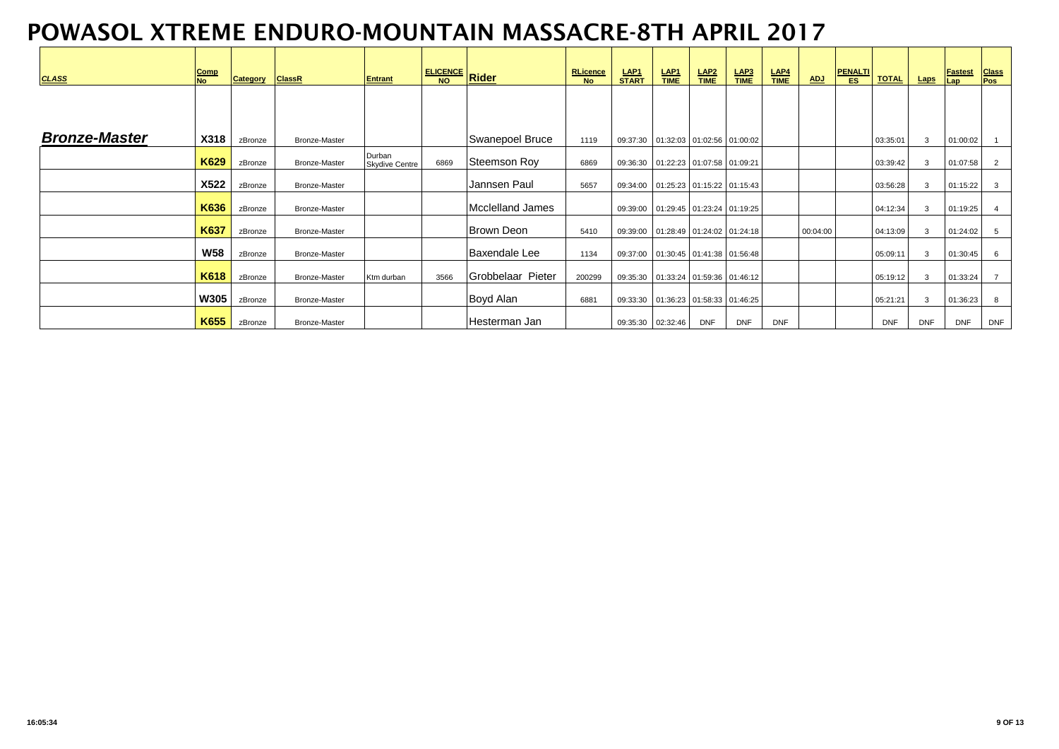| <b>CLASS</b>         | Comp<br><b>No</b> | <b>Category</b> | <b>ClassR</b>        | Entrant                         | I ELICENCE Rider |                   | <b>RLicence</b><br><b>No</b> | LAP <sub>1</sub><br><b>START</b>       | $rac{\mathsf{LAP1}}{\mathsf{TIME}}$ | LAP <sub>2</sub><br>TIME | $rac{\mathsf{LAP3}}{\mathsf{TIME}}$ | $rac{\mathsf{LAP4}}{\mathsf{TIME}}$ | <b>ADJ</b> | <b>PENALTI</b><br>ES. | <b>TOTAL</b> | <b>Laps</b>  | Fastest<br>Lap | <b>Class</b><br>Pos |
|----------------------|-------------------|-----------------|----------------------|---------------------------------|------------------|-------------------|------------------------------|----------------------------------------|-------------------------------------|--------------------------|-------------------------------------|-------------------------------------|------------|-----------------------|--------------|--------------|----------------|---------------------|
|                      |                   |                 |                      |                                 |                  |                   |                              |                                        |                                     |                          |                                     |                                     |            |                       |              |              |                |                     |
| <b>Bronze-Master</b> | <b>X318</b>       | zBronze         | <b>Bronze-Master</b> |                                 |                  | Swanepoel Bruce   | 1119                         | 09:37:30  01:32:03  01:02:56  01:00:02 |                                     |                          |                                     |                                     |            |                       | 03:35:01     | 3            | 01:00:02       |                     |
|                      | K629              | zBronze         | <b>Bronze-Master</b> | Durban<br><b>Skydive Centre</b> | 6869             | Steemson Roy      | 6869                         | 09:36:30  01:22:23  01:07:58  01:09:21 |                                     |                          |                                     |                                     |            |                       | 03:39:42     | 3            | 01:07:58       | $\overline{2}$      |
|                      | X522              | zBronze         | <b>Bronze-Master</b> |                                 |                  | Jannsen Paul      | 5657                         | 09:34:00  01:25:23  01:15:22  01:15:43 |                                     |                          |                                     |                                     |            |                       | 03:56:28     | 3            | 01:15:22       | 3                   |
|                      | K636              | zBronze         | <b>Bronze-Master</b> |                                 |                  | Mcclelland James  |                              | 09:39:00 01:29:45 01:23:24 01:19:25    |                                     |                          |                                     |                                     |            |                       | 04:12:34     | 3            | 01:19:25       | 4                   |
|                      | K637              | zBronze         | <b>Bronze-Master</b> |                                 |                  | <b>Brown Deon</b> | 5410                         | 09:39:00  01:28:49  01:24:02  01:24:18 |                                     |                          |                                     |                                     | 00:04:00   |                       | 04:13:09     | $\mathbf{3}$ | 01:24:02       | 5                   |
|                      | <b>W58</b>        | zBronze         | <b>Bronze-Master</b> |                                 |                  | Baxendale Lee     | 1134                         | 09:37:00  01:30:45  01:41:38  01:56:48 |                                     |                          |                                     |                                     |            |                       | 05:09:11     | 3            | 01:30:45       | 6                   |
|                      | K618              | zBronze         | <b>Bronze-Master</b> | Ktm durban                      | 3566             | Grobbelaar Pieter | 200299                       | 09:35:30  01:33:24  01:59:36  01:46:12 |                                     |                          |                                     |                                     |            |                       | 05:19:12     | $\mathbf{3}$ | 01:33:24       | $\overline{7}$      |
|                      | <b>W305</b>       | zBronze         | <b>Bronze-Master</b> |                                 |                  | Boyd Alan         | 6881                         | 09:33:30  01:36:23  01:58:33  01:46:25 |                                     |                          |                                     |                                     |            |                       | 05:21:21     | $\mathbf{3}$ | 01:36:23       | 8                   |
|                      | K655              | zBronze         | <b>Bronze-Master</b> |                                 |                  | Hesterman Jan     |                              | 09:35:30 02:32:46                      |                                     | <b>DNF</b>               | <b>DNF</b>                          | <b>DNF</b>                          |            |                       | <b>DNF</b>   | <b>DNF</b>   | <b>DNF</b>     | <b>DNF</b>          |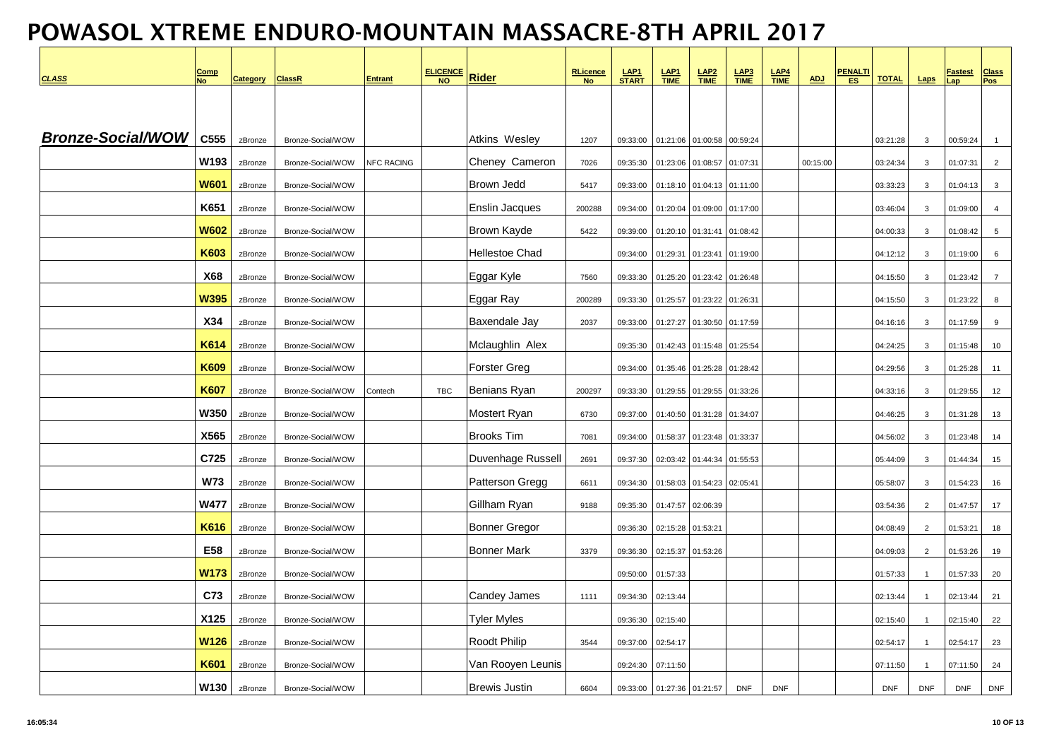| <b>CLASS</b>             | <u>Comp</u><br><b>No</b> | <b>Category</b> | <b>ClassR</b>     | <b>Entrant</b>    | <b>ELICENCE</b><br><b>NO</b> | <b>Rider</b>           | <b>RLicence</b><br><b>No</b> | LAP <sub>1</sub><br><b>START</b> | $rac{\text{LAP1}}{\text{TIME}}$ | LAP <sub>2</sub><br><b>TIME</b> | $rac{\text{LAP3}}{\text{TIME}}$ | $LAP4$<br>TIME | <b>ADJ</b> | <u>PENALTI</u><br>ES. | <b>TOTAL</b> | <b>Laps</b>    | <u>Fastest</u><br>Lap | <b>Class</b><br>Pos |
|--------------------------|--------------------------|-----------------|-------------------|-------------------|------------------------------|------------------------|------------------------------|----------------------------------|---------------------------------|---------------------------------|---------------------------------|----------------|------------|-----------------------|--------------|----------------|-----------------------|---------------------|
|                          |                          |                 |                   |                   |                              |                        |                              |                                  |                                 |                                 |                                 |                |            |                       |              |                |                       |                     |
|                          |                          |                 |                   |                   |                              |                        |                              |                                  |                                 |                                 |                                 |                |            |                       |              |                |                       |                     |
| <b>Bronze-Social/WOW</b> | C555                     | zBronze         | Bronze-Social/WOW |                   |                              | Atkins Wesley          | 1207                         | 09:33:00                         | 01:21:06                        | 01:00:58                        | 00:59:24                        |                |            |                       | 03:21:28     | $\mathbf{3}$   | 00:59:24              | $\overline{1}$      |
|                          | W193                     | zBronze         | Bronze-Social/WOW | <b>NFC RACING</b> |                              | Cheney Cameron         | 7026                         | 09:35:30                         | 01:23:06                        | 01:08:57                        | 01:07:31                        |                | 00:15:00   |                       | 03:24:34     | $\mathbf{3}$   | 01:07:31              | $\overline{2}$      |
|                          | <b>W601</b>              | zBronze         | Bronze-Social/WOW |                   |                              | <b>Brown Jedd</b>      | 5417                         | 09:33:00                         | 01:18:10                        | 01:04:13                        | 01:11:00                        |                |            |                       | 03:33:23     | $\mathbf{3}$   | 01:04:13              | $\mathbf{3}$        |
|                          | K651                     | zBronze         | Bronze-Social/WOW |                   |                              | <b>Enslin Jacques</b>  | 200288                       | 09:34:00                         | 01:20:04                        | 01:09:00                        | 01:17:00                        |                |            |                       | 03:46:04     | $\mathbf{3}$   | 01:09:00              | $\overline{4}$      |
|                          | <b>W602</b>              | zBronze         | Bronze-Social/WOW |                   |                              | Brown Kayde            | 5422                         | 09:39:00                         | 01:20:10                        | 01:31:41                        | 01:08:42                        |                |            |                       | 04:00:33     | $\mathbf{3}$   | 01:08:42              | 5                   |
|                          | K603                     | zBronze         | Bronze-Social/WOW |                   |                              | Hellestoe Chad         |                              | 09:34:00                         | 01:29:31                        | 01:23:41                        | 01:19:00                        |                |            |                       | 04:12:12     | $\mathbf{3}$   | 01:19:00              | 6                   |
|                          | <b>X68</b>               | zBronze         | Bronze-Social/WOW |                   |                              | Eggar Kyle             | 7560                         | 09:33:30                         | 01:25:20                        | 01:23:42                        | 01:26:48                        |                |            |                       | 04:15:50     | $\mathbf{3}$   | 01:23:42              | $\overline{7}$      |
|                          | <b>W395</b>              | zBronze         | Bronze-Social/WOW |                   |                              | Eggar Ray              | 200289                       | 09:33:30                         | 01:25:57                        | 01:23:22                        | 01:26:31                        |                |            |                       | 04:15:50     | $\mathbf{3}$   | 01:23:22              | 8                   |
|                          | X34                      | zBronze         | Bronze-Social/WOW |                   |                              | Baxendale Jay          | 2037                         | 09:33:00                         | 01:27:27                        | 01:30:50                        | 01:17:59                        |                |            |                       | 04:16:16     | $\mathbf{3}$   | 01:17:59              | 9                   |
|                          | K614                     | zBronze         | Bronze-Social/WOW |                   |                              | Mclaughlin Alex        |                              | 09:35:30                         | 01:42:43                        | 01:15:48                        | 01:25:54                        |                |            |                       | 04:24:25     | $\mathbf{3}$   | 01:15:48              | 10                  |
|                          | <b>K609</b>              | zBronze         | Bronze-Social/WOW |                   |                              | <b>Forster Greg</b>    |                              | 09:34:00                         | 01:35:46                        | 01:25:28                        | 01:28:42                        |                |            |                       | 04:29:56     | $\mathbf{3}$   | 01:25:28              | 11                  |
|                          | <b>K607</b>              | zBronze         | Bronze-Social/WOW | Contech           | TBC                          | Benians Ryan           | 200297                       | 09:33:30                         | 01:29:55                        | 01:29:55                        | 01:33:26                        |                |            |                       | 04:33:16     | $\mathbf{3}$   | 01:29:55              | 12                  |
|                          | <b>W350</b>              | zBronze         | Bronze-Social/WOW |                   |                              | Mostert Ryan           | 6730                         | 09:37:00                         | 01:40:50                        | 01:31:28                        | 01:34:07                        |                |            |                       | 04:46:25     | $\mathbf{3}$   | 01:31:28              | 13                  |
|                          | X565                     | zBronze         | Bronze-Social/WOW |                   |                              | <b>Brooks Tim</b>      | 7081                         | 09:34:00                         | 01:58:37                        | 01:23:48                        | 01:33:37                        |                |            |                       | 04:56:02     | $\mathbf{3}$   | 01:23:48              | 14                  |
|                          | C725                     | zBronze         | Bronze-Social/WOW |                   |                              | Duvenhage Russell      | 2691                         | 09:37:30                         | 02:03:42                        | 01:44:34                        | 01:55:53                        |                |            |                       | 05:44:09     | $\mathbf{3}$   | 01:44:34              | 15                  |
|                          | <b>W73</b>               | zBronze         | Bronze-Social/WOW |                   |                              | <b>Patterson Gregg</b> | 6611                         | 09:34:30                         |                                 | 01:58:03 01:54:23               | 02:05:41                        |                |            |                       | 05:58:07     | $\mathbf{3}$   | 01:54:23              | 16                  |
|                          | <b>W477</b>              | zBronze         | Bronze-Social/WOW |                   |                              | Gillham Ryan           | 9188                         | 09:35:30                         | 01:47:57                        | 02:06:39                        |                                 |                |            |                       | 03:54:36     | $\overline{2}$ | 01:47:57              | 17                  |
|                          | K616                     | zBronze         | Bronze-Social/WOW |                   |                              | <b>Bonner Gregor</b>   |                              | 09:36:30                         | 02:15:28                        | 01:53:21                        |                                 |                |            |                       | 04:08:49     | $\overline{2}$ | 01:53:21              | 18                  |
|                          | E58                      | zBronze         | Bronze-Social/WOW |                   |                              | <b>Bonner Mark</b>     | 3379                         | 09:36:30                         |                                 | 02:15:37 01:53:26               |                                 |                |            |                       | 04:09:03     | 2              | 01:53:26              | 19                  |
|                          | W173                     | zBronze         | Bronze-Social/WOW |                   |                              |                        |                              | 09:50:00                         | 01:57:33                        |                                 |                                 |                |            |                       | 01:57:33     | $\overline{1}$ | 01:57:33              | 20                  |
|                          | C73                      | zBronze         | Bronze-Social/WOW |                   |                              | Candey James           | 1111                         | 09:34:30                         | 02:13:44                        |                                 |                                 |                |            |                       | 02:13:44     | $\overline{1}$ | 02:13:44              | 21                  |
|                          | X125                     | zBronze         | Bronze-Social/WOW |                   |                              | <b>Tyler Myles</b>     |                              | 09:36:30                         | 02:15:40                        |                                 |                                 |                |            |                       | 02:15:40     | $\overline{1}$ | 02:15:40              | 22                  |
|                          | <b>W126</b>              | zBronze         | Bronze-Social/WOW |                   |                              | Roodt Philip           | 3544                         | 09:37:00                         | 02:54:17                        |                                 |                                 |                |            |                       | 02:54:17     | $\overline{1}$ | 02:54:17              | 23                  |
|                          | K601                     | zBronze         | Bronze-Social/WOW |                   |                              | Van Rooyen Leunis      |                              | 09:24:30                         | 07:11:50                        |                                 |                                 |                |            |                       | 07:11:50     | $\overline{1}$ | 07:11:50              | 24                  |
|                          | W130                     | zBronze         | Bronze-Social/WOW |                   |                              | <b>Brewis Justin</b>   | 6604                         | 09:33:00                         | 01:27:36 01:21:57               |                                 | <b>DNF</b>                      | <b>DNF</b>     |            |                       | <b>DNF</b>   | <b>DNF</b>     | <b>DNF</b>            | <b>DNF</b>          |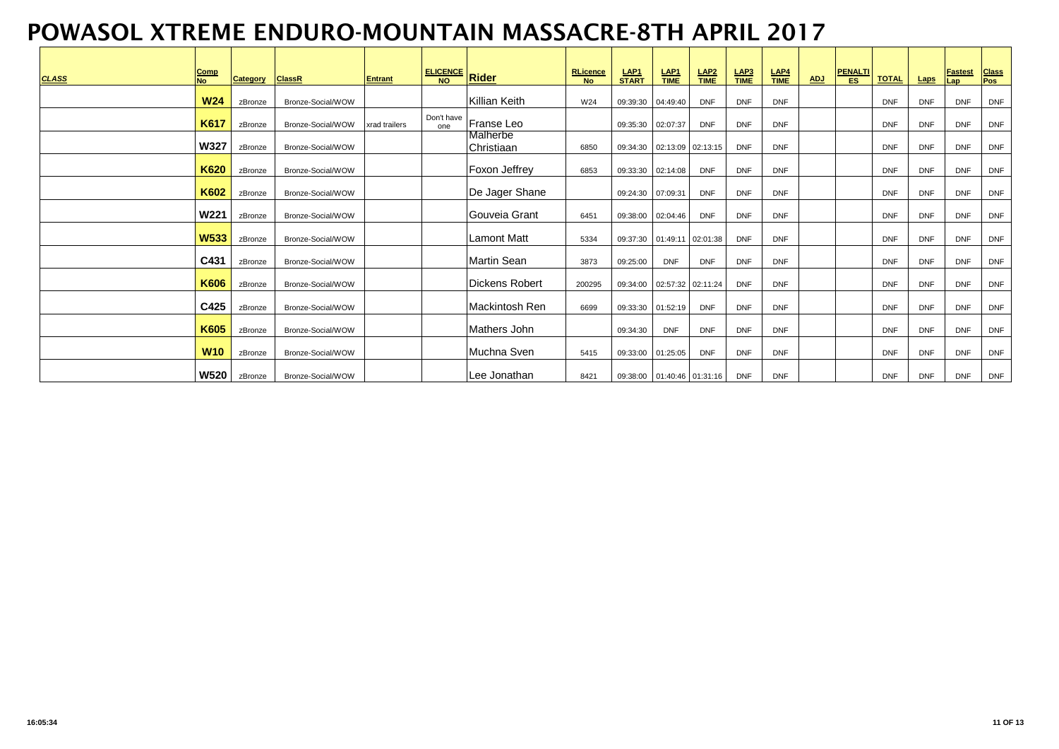| <b>CLASS</b> | Comp<br><b>No</b> | <b>Category</b> | <b>ClassR</b>     | <b>Entrant</b> | <b>ELICENCE</b> Rider |                        | <b>RLicence</b><br><b>No</b> | $LAP1\nSTART$     | $rac{\text{LAP1}}{\text{TIME}}$ | $rac{\text{LAP2}}{\text{TIME}}$ | $rac{\mathsf{LAP3}}{\mathsf{TIME}}$ | $rac{\mathsf{LAP4}}{\mathsf{TIME}}$ | <b>ADJ</b> | <b>PENALTI</b><br>ES. | <b>TOTAL</b> | Laps       | <b>Fastest</b>    | <b>Class</b><br>Pos |
|--------------|-------------------|-----------------|-------------------|----------------|-----------------------|------------------------|------------------------------|-------------------|---------------------------------|---------------------------------|-------------------------------------|-------------------------------------|------------|-----------------------|--------------|------------|-------------------|---------------------|
|              | <b>W24</b>        | zBronze         | Bronze-Social/WOW |                |                       | Killian Keith          | W24                          | 09:39:30 04:49:40 |                                 | <b>DNF</b>                      | <b>DNF</b>                          | <b>DNF</b>                          |            |                       | <b>DNF</b>   | <b>DNF</b> | Lap<br><b>DNF</b> | <b>DNF</b>          |
|              | K617              | zBronze         | Bronze-Social/WOW | xrad trailers  | Don't have<br>one     | Franse Leo             |                              | 09:35:30 02:07:37 |                                 | <b>DNF</b>                      | <b>DNF</b>                          | <b>DNF</b>                          |            |                       | <b>DNF</b>   | <b>DNF</b> | <b>DNF</b>        | <b>DNF</b>          |
|              | <b>W327</b>       | zBronze         | Bronze-Social/WOW |                |                       | Malherbe<br>Christiaan | 6850                         |                   | 09:34:30  02:13:09  02:13:15    |                                 | <b>DNF</b>                          | <b>DNF</b>                          |            |                       | <b>DNF</b>   | <b>DNF</b> | <b>DNF</b>        | <b>DNF</b>          |
|              | <b>K620</b>       | zBronze         | Bronze-Social/WOW |                |                       | Foxon Jeffrey          | 6853                         |                   | 09:33:30 02:14:08               | <b>DNF</b>                      | <b>DNF</b>                          | <b>DNF</b>                          |            |                       | <b>DNF</b>   | <b>DNF</b> | <b>DNF</b>        | <b>DNF</b>          |
|              | K602              | zBronze         | Bronze-Social/WOW |                |                       | De Jager Shane         |                              | 09:24:30 07:09:31 |                                 | <b>DNF</b>                      | <b>DNF</b>                          | <b>DNF</b>                          |            |                       | <b>DNF</b>   | <b>DNF</b> | <b>DNF</b>        | <b>DNF</b>          |
|              | <b>W221</b>       | zBronze         | Bronze-Social/WOW |                |                       | Gouveia Grant          | 6451                         |                   | 09:38:00 02:04:46               | <b>DNF</b>                      | <b>DNF</b>                          | <b>DNF</b>                          |            |                       | <b>DNF</b>   | <b>DNF</b> | <b>DNF</b>        | <b>DNF</b>          |
|              | <b>W533</b>       | zBronze         | Bronze-Social/WOW |                |                       | <b>Lamont Matt</b>     | 5334                         |                   | 09:37:30  01:49:11  02:01:38    |                                 | <b>DNF</b>                          | <b>DNF</b>                          |            |                       | <b>DNF</b>   | <b>DNF</b> | <b>DNF</b>        | <b>DNF</b>          |
|              | C431              | zBronze         | Bronze-Social/WOW |                |                       | Martin Sean            | 3873                         | 09:25:00          | <b>DNF</b>                      | <b>DNF</b>                      | <b>DNF</b>                          | <b>DNF</b>                          |            |                       | <b>DNF</b>   | <b>DNF</b> | <b>DNF</b>        | <b>DNF</b>          |
|              | K606              | zBronze         | Bronze-Social/WOW |                |                       | Dickens Robert         | 200295                       |                   | 09:34:00 02:57:32 02:11:24      |                                 | <b>DNF</b>                          | <b>DNF</b>                          |            |                       | <b>DNF</b>   | <b>DNF</b> | <b>DNF</b>        | <b>DNF</b>          |
|              | C425              | zBronze         | Bronze-Social/WOW |                |                       | Mackintosh Ren         | 6699                         |                   | 09:33:30 01:52:19               | <b>DNF</b>                      | <b>DNF</b>                          | <b>DNF</b>                          |            |                       | <b>DNF</b>   | <b>DNF</b> | <b>DNF</b>        | <b>DNF</b>          |
|              | K605              | zBronze         | Bronze-Social/WOW |                |                       | Mathers John           |                              | 09:34:30          | <b>DNF</b>                      | <b>DNF</b>                      | <b>DNF</b>                          | <b>DNF</b>                          |            |                       | <b>DNF</b>   | <b>DNF</b> | <b>DNF</b>        | <b>DNF</b>          |
|              | <b>W10</b>        | zBronze         | Bronze-Social/WOW |                |                       | Muchna Sven            | 5415                         |                   | 09:33:00 01:25:05               | <b>DNF</b>                      | <b>DNF</b>                          | <b>DNF</b>                          |            |                       | <b>DNF</b>   | <b>DNF</b> | <b>DNF</b>        | <b>DNF</b>          |
|              | W520              | zBronze         | Bronze-Social/WOW |                |                       | Lee Jonathan           | 8421                         |                   | 09:38:00  01:40:46  01:31:16    |                                 | <b>DNF</b>                          | <b>DNF</b>                          |            |                       | <b>DNF</b>   | <b>DNF</b> | <b>DNF</b>        | <b>DNF</b>          |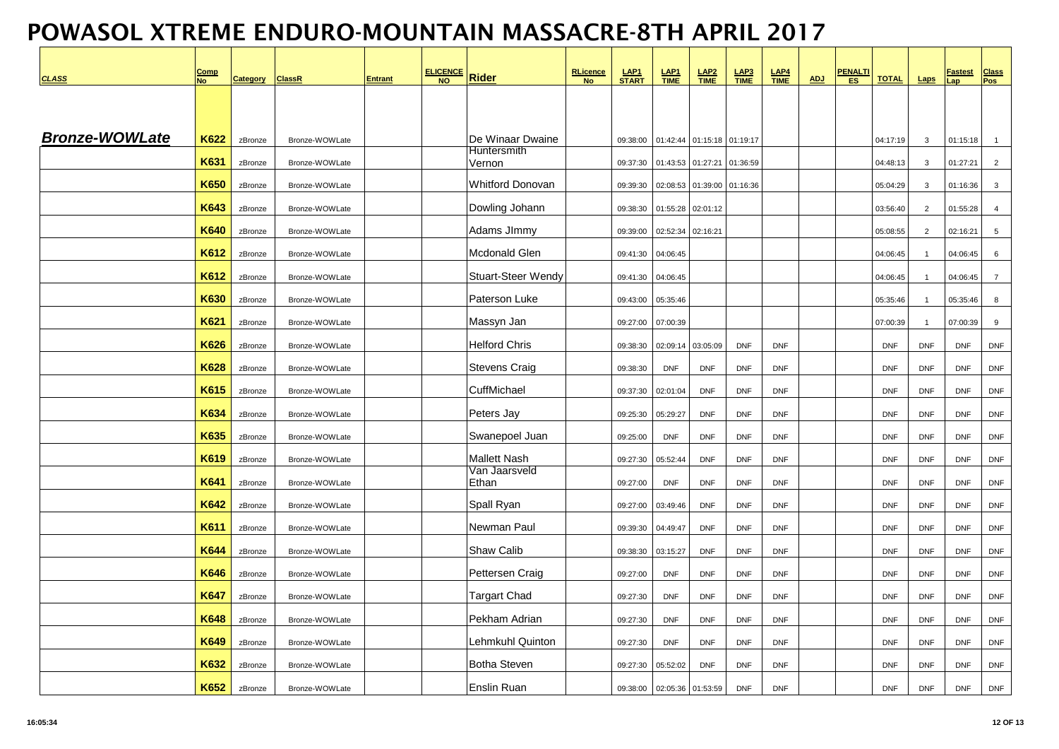| <b>CLASS</b>          | Comp<br><b>No</b> | <b>Category</b> | <b>ClassR</b>  | <b>Entrant</b> | <b>ELICENCE</b><br>NQ | <b>Rider</b>                    | <b>RLicence</b><br><b>No</b> | LAP <sub>1</sub><br><b>START</b> | $rac{\text{LAP1}}{\text{TIME}}$ | LAP <sub>2</sub><br><b>TIME</b> | $LAP3 TIME$       | $LAP4$<br>TIME | ADJ | <b>PENALTI</b><br><b>ES</b> | <b>TOTAL</b> | Laps           | <b>Fastest</b><br>ap | <b>Class</b><br>Pos |
|-----------------------|-------------------|-----------------|----------------|----------------|-----------------------|---------------------------------|------------------------------|----------------------------------|---------------------------------|---------------------------------|-------------------|----------------|-----|-----------------------------|--------------|----------------|----------------------|---------------------|
|                       |                   |                 |                |                |                       |                                 |                              |                                  |                                 |                                 |                   |                |     |                             |              |                |                      |                     |
|                       |                   |                 |                |                |                       |                                 |                              |                                  |                                 |                                 |                   |                |     |                             |              |                |                      |                     |
| <b>Bronze-WOWLate</b> | K622              | zBronze         | Bronze-WOWLate |                |                       | De Winaar Dwaine<br>Huntersmith |                              | 09:38:00                         | 01:42:44                        |                                 | 01:15:18 01:19:17 |                |     |                             | 04:17:19     | $\mathbf{3}$   | 01:15:18             | $\overline{1}$      |
|                       | K631              | zBronze         | Bronze-WOWLate |                |                       | Vernon                          |                              | 09:37:30                         | 01:43:53                        | 01:27:21                        | 01:36:59          |                |     |                             | 04:48:13     | $\mathbf{3}$   | 01:27:21             | $\overline{2}$      |
|                       | <b>K650</b>       | zBronze         | Bronze-WOWLate |                |                       | <b>Whitford Donovan</b>         |                              | 09:39:30                         | 02:08:53                        |                                 | 01:39:00 01:16:36 |                |     |                             | 05:04:29     | $\mathbf{3}$   | 01:16:36             | 3                   |
|                       | K643              | zBronze         | Bronze-WOWLate |                |                       | Dowling Johann                  |                              | 09:38:30                         | 01:55:28                        | 02:01:12                        |                   |                |     |                             | 03:56:40     | 2              | 01:55:28             | $\overline{4}$      |
|                       | K640              | zBronze         | Bronze-WOWLate |                |                       | Adams JImmy                     |                              | 09:39:00                         | 02:52:34                        | 02:16:21                        |                   |                |     |                             | 05:08:55     | $\overline{2}$ | 02:16:21             | $5\phantom{.0}$     |
|                       | K612              | zBronze         | Bronze-WOWLate |                |                       | <b>Mcdonald Glen</b>            |                              | 09:41:30                         | 04:06:45                        |                                 |                   |                |     |                             | 04:06:45     | $\overline{1}$ | 04:06:45             | 6                   |
|                       | K612              | zBronze         | Bronze-WOWLate |                |                       | Stuart-Steer Wendy              |                              | 09:41:30                         | 04:06:45                        |                                 |                   |                |     |                             | 04:06:45     | $\mathbf{1}$   | 04:06:45             | $\overline{7}$      |
|                       | K630              | zBronze         | Bronze-WOWLate |                |                       | Paterson Luke                   |                              | 09:43:00                         | 05:35:46                        |                                 |                   |                |     |                             | 05:35:46     | $\mathbf{1}$   | 05:35:46             | 8                   |
|                       | <b>K621</b>       | zBronze         | Bronze-WOWLate |                |                       | Massyn Jan                      |                              | 09:27:00                         | 07:00:39                        |                                 |                   |                |     |                             | 07:00:39     | $\overline{1}$ | 07:00:39             | $\boldsymbol{9}$    |
|                       | K626              | zBronze         | Bronze-WOWLate |                |                       | <b>Helford Chris</b>            |                              | 09:38:30                         | 02:09:14                        | 03:05:09                        | <b>DNF</b>        | <b>DNF</b>     |     |                             | <b>DNF</b>   | <b>DNF</b>     | <b>DNF</b>           | <b>DNF</b>          |
|                       | K628              | zBronze         | Bronze-WOWLate |                |                       | Stevens Craig                   |                              | 09:38:30                         | <b>DNF</b>                      | <b>DNF</b>                      | <b>DNF</b>        | <b>DNF</b>     |     |                             | <b>DNF</b>   | <b>DNF</b>     | <b>DNF</b>           | <b>DNF</b>          |
|                       | K615              | zBronze         | Bronze-WOWLate |                |                       | CuffMichael                     |                              | 09:37:30                         | 02:01:04                        | <b>DNF</b>                      | <b>DNF</b>        | <b>DNF</b>     |     |                             | <b>DNF</b>   | <b>DNF</b>     | <b>DNF</b>           | <b>DNF</b>          |
|                       | K634              | zBronze         | Bronze-WOWLate |                |                       | Peters Jay                      |                              | 09:25:30                         | 05:29:27                        | <b>DNF</b>                      | <b>DNF</b>        | <b>DNF</b>     |     |                             | <b>DNF</b>   | <b>DNF</b>     | <b>DNF</b>           | <b>DNF</b>          |
|                       | K635              | zBronze         | Bronze-WOWLate |                |                       | Swanepoel Juan                  |                              | 09:25:00                         | <b>DNF</b>                      | <b>DNF</b>                      | <b>DNF</b>        | <b>DNF</b>     |     |                             | <b>DNF</b>   | <b>DNF</b>     | <b>DNF</b>           | <b>DNF</b>          |
|                       | K619              | zBronze         | Bronze-WOWLate |                |                       | Mallett Nash                    |                              | 09:27:30                         | 05:52:44                        | <b>DNF</b>                      | <b>DNF</b>        | <b>DNF</b>     |     |                             | <b>DNF</b>   | <b>DNF</b>     | <b>DNF</b>           | <b>DNF</b>          |
|                       | K641              | zBronze         | Bronze-WOWLate |                |                       | Van Jaarsveld<br>Ethan          |                              | 09:27:00                         | <b>DNF</b>                      | <b>DNF</b>                      | <b>DNF</b>        | <b>DNF</b>     |     |                             | <b>DNF</b>   | <b>DNF</b>     | <b>DNF</b>           | <b>DNF</b>          |
|                       | K642              | zBronze         | Bronze-WOWLate |                |                       | Spall Ryan                      |                              | 09:27:00                         | 03:49:46                        | <b>DNF</b>                      | <b>DNF</b>        | <b>DNF</b>     |     |                             | <b>DNF</b>   | <b>DNF</b>     | <b>DNF</b>           | <b>DNF</b>          |
|                       | K611              | zBronze         | Bronze-WOWLate |                |                       | Newman Paul                     |                              | 09:39:30                         | 04:49:47                        | <b>DNF</b>                      | <b>DNF</b>        | <b>DNF</b>     |     |                             | <b>DNF</b>   | <b>DNF</b>     | <b>DNF</b>           | <b>DNF</b>          |
|                       | K644              | zBronze         | Bronze-WOWLate |                |                       | Shaw Calib                      |                              | 09:38:30                         | 03:15:27                        | <b>DNF</b>                      | <b>DNF</b>        | <b>DNF</b>     |     |                             | <b>DNF</b>   | <b>DNF</b>     | <b>DNF</b>           | <b>DNF</b>          |
|                       | K646              | zBronze         | Bronze-WOWLate |                |                       | Pettersen Craig                 |                              | 09:27:00                         | <b>DNF</b>                      | <b>DNF</b>                      | <b>DNF</b>        | <b>DNF</b>     |     |                             | <b>DNF</b>   | <b>DNF</b>     | <b>DNF</b>           | <b>DNF</b>          |
|                       | <b>K647</b>       | zBronze         | Bronze-WOWLate |                |                       | Targart Chad                    |                              | 09:27:30                         | <b>DNF</b>                      | <b>DNF</b>                      | <b>DNF</b>        | <b>DNF</b>     |     |                             | <b>DNF</b>   | <b>DNF</b>     | <b>DNF</b>           | <b>DNF</b>          |
|                       | K648              | zBronze         | Bronze-WOWLate |                |                       | Pekham Adrian                   |                              | 09:27:30                         | <b>DNF</b>                      | <b>DNF</b>                      | <b>DNF</b>        | <b>DNF</b>     |     |                             | <b>DNF</b>   | <b>DNF</b>     | <b>DNF</b>           | <b>DNF</b>          |
|                       | K649              | zBronze         | Bronze-WOWLate |                |                       | Lehmkuhl Quinton                |                              | 09:27:30                         | <b>DNF</b>                      | <b>DNF</b>                      | <b>DNF</b>        | <b>DNF</b>     |     |                             | <b>DNF</b>   | <b>DNF</b>     | <b>DNF</b>           | <b>DNF</b>          |
|                       | K632              | zBronze         | Bronze-WOWLate |                |                       | <b>Botha Steven</b>             |                              | 09:27:30                         | 05:52:02                        | <b>DNF</b>                      | <b>DNF</b>        | <b>DNF</b>     |     |                             | <b>DNF</b>   | <b>DNF</b>     | <b>DNF</b>           | <b>DNF</b>          |
|                       | K652              | zBronze         | Bronze-WOWLate |                |                       | <b>Enslin Ruan</b>              |                              | 09:38:00                         | 02:05:36                        | 01:53:59                        | <b>DNF</b>        | <b>DNF</b>     |     |                             | <b>DNF</b>   | <b>DNF</b>     | <b>DNF</b>           | <b>DNF</b>          |